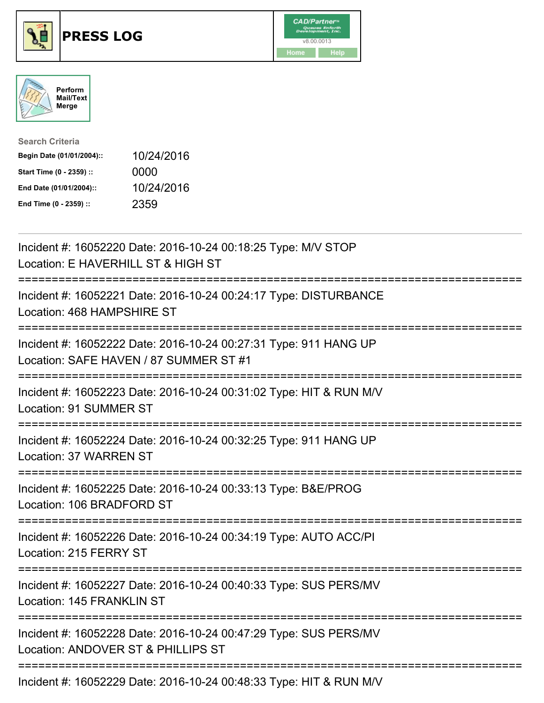





| <b>Search Criteria</b>    |            |
|---------------------------|------------|
| Begin Date (01/01/2004):: | 10/24/2016 |
| Start Time (0 - 2359) ::  | 0000       |
| End Date (01/01/2004)::   | 10/24/2016 |
| End Time (0 - 2359) ::    | 2359       |

| Incident #: 16052220 Date: 2016-10-24 00:18:25 Type: M/V STOP<br>Location: E HAVERHILL ST & HIGH ST                       |
|---------------------------------------------------------------------------------------------------------------------------|
| Incident #: 16052221 Date: 2016-10-24 00:24:17 Type: DISTURBANCE<br>Location: 468 HAMPSHIRE ST                            |
| Incident #: 16052222 Date: 2016-10-24 00:27:31 Type: 911 HANG UP<br>Location: SAFE HAVEN / 87 SUMMER ST #1                |
| Incident #: 16052223 Date: 2016-10-24 00:31:02 Type: HIT & RUN M/V<br>Location: 91 SUMMER ST                              |
| Incident #: 16052224 Date: 2016-10-24 00:32:25 Type: 911 HANG UP<br><b>Location: 37 WARREN ST</b><br>-------------------- |
| Incident #: 16052225 Date: 2016-10-24 00:33:13 Type: B&E/PROG<br>Location: 106 BRADFORD ST<br>=====================       |
| Incident #: 16052226 Date: 2016-10-24 00:34:19 Type: AUTO ACC/PI<br>Location: 215 FERRY ST                                |
| Incident #: 16052227 Date: 2016-10-24 00:40:33 Type: SUS PERS/MV<br>Location: 145 FRANKLIN ST                             |
| Incident #: 16052228 Date: 2016-10-24 00:47:29 Type: SUS PERS/MV<br>Location: ANDOVER ST & PHILLIPS ST                    |
| Incident #: 16052229 Date: 2016-10-24 00:48:33 Type: HIT & RUN M/V                                                        |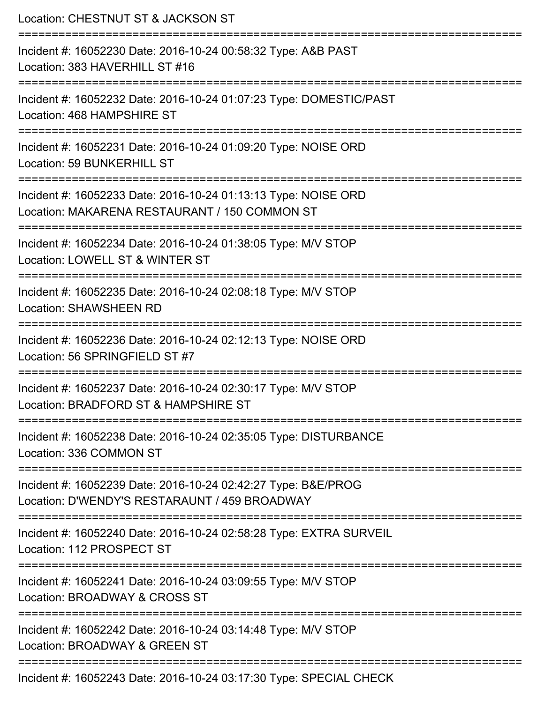| Location: CHESTNUT ST & JACKSON ST<br>:=====================                                                                               |
|--------------------------------------------------------------------------------------------------------------------------------------------|
| Incident #: 16052230 Date: 2016-10-24 00:58:32 Type: A&B PAST<br>Location: 383 HAVERHILL ST #16<br>:=====================<br>============= |
| Incident #: 16052232 Date: 2016-10-24 01:07:23 Type: DOMESTIC/PAST<br>Location: 468 HAMPSHIRE ST                                           |
| Incident #: 16052231 Date: 2016-10-24 01:09:20 Type: NOISE ORD<br>Location: 59 BUNKERHILL ST                                               |
| Incident #: 16052233 Date: 2016-10-24 01:13:13 Type: NOISE ORD<br>Location: MAKARENA RESTAURANT / 150 COMMON ST                            |
| Incident #: 16052234 Date: 2016-10-24 01:38:05 Type: M/V STOP<br>Location: LOWELL ST & WINTER ST<br>-------------------------              |
| Incident #: 16052235 Date: 2016-10-24 02:08:18 Type: M/V STOP<br><b>Location: SHAWSHEEN RD</b>                                             |
| Incident #: 16052236 Date: 2016-10-24 02:12:13 Type: NOISE ORD<br>Location: 56 SPRINGFIELD ST #7                                           |
| Incident #: 16052237 Date: 2016-10-24 02:30:17 Type: M/V STOP<br>Location: BRADFORD ST & HAMPSHIRE ST                                      |
| Incident #: 16052238 Date: 2016-10-24 02:35:05 Type: DISTURBANCE<br>Location: 336 COMMON ST                                                |
| Incident #: 16052239 Date: 2016-10-24 02:42:27 Type: B&E/PROG<br>Location: D'WENDY'S RESTARAUNT / 459 BROADWAY                             |
| Incident #: 16052240 Date: 2016-10-24 02:58:28 Type: EXTRA SURVEIL<br>Location: 112 PROSPECT ST                                            |
| Incident #: 16052241 Date: 2016-10-24 03:09:55 Type: M/V STOP<br>Location: BROADWAY & CROSS ST                                             |
| Incident #: 16052242 Date: 2016-10-24 03:14:48 Type: M/V STOP<br>Location: BROADWAY & GREEN ST                                             |
| Incident #: 16052243 Date: 2016-10-24 03:17:30 Type: SPECIAL CHECK                                                                         |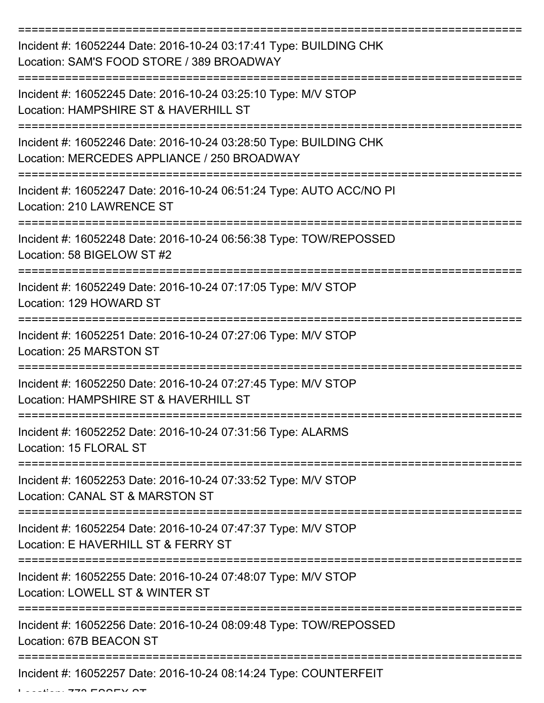| Incident #: 16052244 Date: 2016-10-24 03:17:41 Type: BUILDING CHK<br>Location: SAM'S FOOD STORE / 389 BROADWAY   |
|------------------------------------------------------------------------------------------------------------------|
| Incident #: 16052245 Date: 2016-10-24 03:25:10 Type: M/V STOP<br>Location: HAMPSHIRE ST & HAVERHILL ST           |
| Incident #: 16052246 Date: 2016-10-24 03:28:50 Type: BUILDING CHK<br>Location: MERCEDES APPLIANCE / 250 BROADWAY |
| Incident #: 16052247 Date: 2016-10-24 06:51:24 Type: AUTO ACC/NO PI<br>Location: 210 LAWRENCE ST                 |
| Incident #: 16052248 Date: 2016-10-24 06:56:38 Type: TOW/REPOSSED<br>Location: 58 BIGELOW ST #2                  |
| Incident #: 16052249 Date: 2016-10-24 07:17:05 Type: M/V STOP<br>Location: 129 HOWARD ST                         |
| Incident #: 16052251 Date: 2016-10-24 07:27:06 Type: M/V STOP<br>Location: 25 MARSTON ST                         |
| Incident #: 16052250 Date: 2016-10-24 07:27:45 Type: M/V STOP<br>Location: HAMPSHIRE ST & HAVERHILL ST           |
| Incident #: 16052252 Date: 2016-10-24 07:31:56 Type: ALARMS<br>Location: 15 FLORAL ST                            |
| Incident #: 16052253 Date: 2016-10-24 07:33:52 Type: M/V STOP<br>Location: CANAL ST & MARSTON ST                 |
| Incident #: 16052254 Date: 2016-10-24 07:47:37 Type: M/V STOP<br>Location: E HAVERHILL ST & FERRY ST             |
| Incident #: 16052255 Date: 2016-10-24 07:48:07 Type: M/V STOP<br>Location: LOWELL ST & WINTER ST                 |
| Incident #: 16052256 Date: 2016-10-24 08:09:48 Type: TOW/REPOSSED<br>Location: 67B BEACON ST                     |
| Incident #: 16052257 Date: 2016-10-24 08:14:24 Type: COUNTERFEIT                                                 |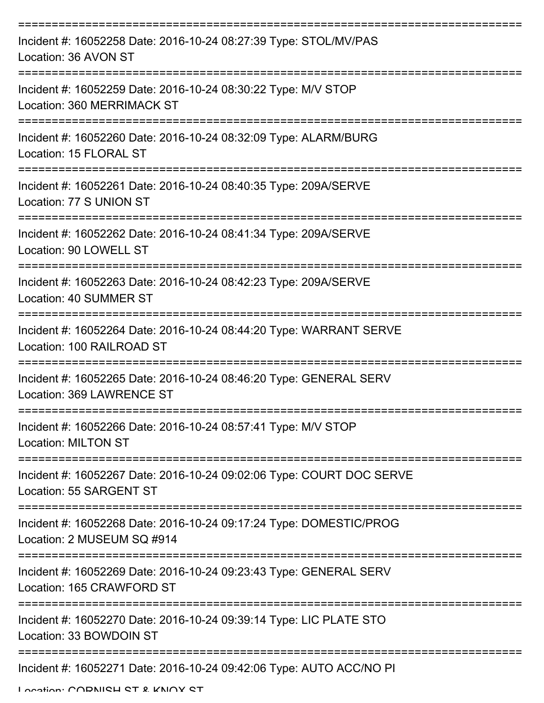| Incident #: 16052258 Date: 2016-10-24 08:27:39 Type: STOL/MV/PAS<br>Location: 36 AVON ST         |
|--------------------------------------------------------------------------------------------------|
| Incident #: 16052259 Date: 2016-10-24 08:30:22 Type: M/V STOP<br>Location: 360 MERRIMACK ST      |
| Incident #: 16052260 Date: 2016-10-24 08:32:09 Type: ALARM/BURG<br>Location: 15 FLORAL ST        |
| Incident #: 16052261 Date: 2016-10-24 08:40:35 Type: 209A/SERVE<br>Location: 77 S UNION ST       |
| Incident #: 16052262 Date: 2016-10-24 08:41:34 Type: 209A/SERVE<br>Location: 90 LOWELL ST        |
| Incident #: 16052263 Date: 2016-10-24 08:42:23 Type: 209A/SERVE<br>Location: 40 SUMMER ST        |
| Incident #: 16052264 Date: 2016-10-24 08:44:20 Type: WARRANT SERVE<br>Location: 100 RAILROAD ST  |
| Incident #: 16052265 Date: 2016-10-24 08:46:20 Type: GENERAL SERV<br>Location: 369 LAWRENCE ST   |
| Incident #: 16052266 Date: 2016-10-24 08:57:41 Type: M/V STOP<br><b>Location: MILTON ST</b>      |
| Incident #: 16052267 Date: 2016-10-24 09:02:06 Type: COURT DOC SERVE<br>Location: 55 SARGENT ST  |
| Incident #: 16052268 Date: 2016-10-24 09:17:24 Type: DOMESTIC/PROG<br>Location: 2 MUSEUM SQ #914 |
| Incident #: 16052269 Date: 2016-10-24 09:23:43 Type: GENERAL SERV<br>Location: 165 CRAWFORD ST   |
| Incident #: 16052270 Date: 2016-10-24 09:39:14 Type: LIC PLATE STO<br>Location: 33 BOWDOIN ST    |
| Incident #: 16052271 Date: 2016-10-24 09:42:06 Type: AUTO ACC/NO PI                              |

Location: CODNICH CT & KNOY CT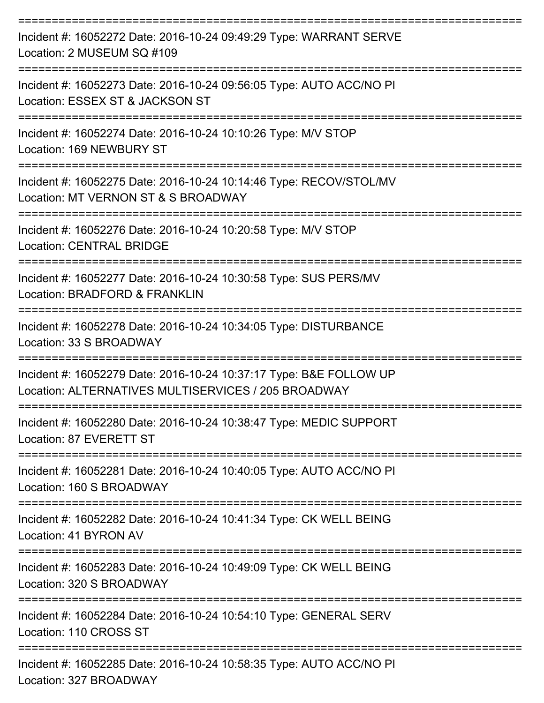| Incident #: 16052272 Date: 2016-10-24 09:49:29 Type: WARRANT SERVE<br>Location: 2 MUSEUM SQ #109                                        |
|-----------------------------------------------------------------------------------------------------------------------------------------|
| Incident #: 16052273 Date: 2016-10-24 09:56:05 Type: AUTO ACC/NO PI<br>Location: ESSEX ST & JACKSON ST                                  |
| Incident #: 16052274 Date: 2016-10-24 10:10:26 Type: M/V STOP<br>Location: 169 NEWBURY ST                                               |
| Incident #: 16052275 Date: 2016-10-24 10:14:46 Type: RECOV/STOL/MV<br>Location: MT VERNON ST & S BROADWAY                               |
| Incident #: 16052276 Date: 2016-10-24 10:20:58 Type: M/V STOP<br><b>Location: CENTRAL BRIDGE</b>                                        |
| Incident #: 16052277 Date: 2016-10-24 10:30:58 Type: SUS PERS/MV<br>Location: BRADFORD & FRANKLIN                                       |
| Incident #: 16052278 Date: 2016-10-24 10:34:05 Type: DISTURBANCE<br>Location: 33 S BROADWAY                                             |
| Incident #: 16052279 Date: 2016-10-24 10:37:17 Type: B&E FOLLOW UP<br>Location: ALTERNATIVES MULTISERVICES / 205 BROADWAY               |
| Incident #: 16052280 Date: 2016-10-24 10:38:47 Type: MEDIC SUPPORT<br>Location: 87 EVERETT ST                                           |
| Incident #: 16052281 Date: 2016-10-24 10:40:05 Type: AUTO ACC/NO PI<br>Location: 160 S BROADWAY                                         |
| Incident #: 16052282 Date: 2016-10-24 10:41:34 Type: CK WELL BEING<br>Location: 41 BYRON AV                                             |
| :====================================<br>Incident #: 16052283 Date: 2016-10-24 10:49:09 Type: CK WELL BEING<br>Location: 320 S BROADWAY |
| Incident #: 16052284 Date: 2016-10-24 10:54:10 Type: GENERAL SERV<br>Location: 110 CROSS ST                                             |
| Incident #: 16052285 Date: 2016-10-24 10:58:35 Type: AUTO ACC/NO PI<br>Location: 327 BROADWAY                                           |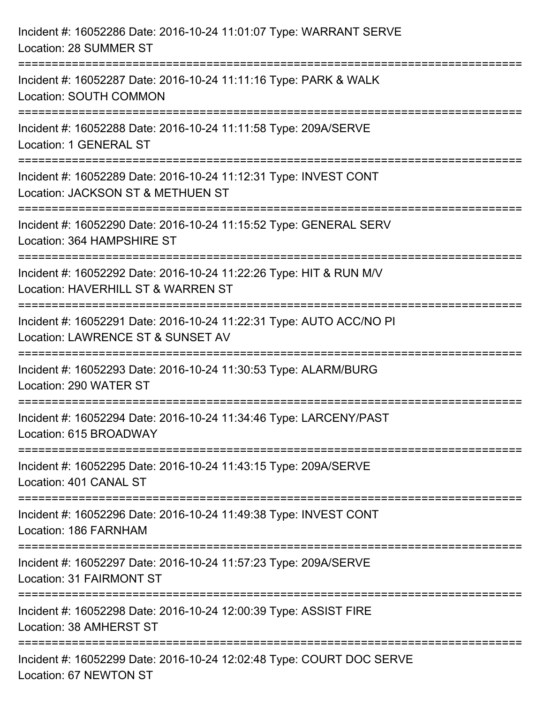| Incident #: 16052286 Date: 2016-10-24 11:01:07 Type: WARRANT SERVE<br>Location: 28 SUMMER ST                                                                 |
|--------------------------------------------------------------------------------------------------------------------------------------------------------------|
| Incident #: 16052287 Date: 2016-10-24 11:11:16 Type: PARK & WALK<br>Location: SOUTH COMMON                                                                   |
| Incident #: 16052288 Date: 2016-10-24 11:11:58 Type: 209A/SERVE<br>Location: 1 GENERAL ST<br>=====================================                           |
| Incident #: 16052289 Date: 2016-10-24 11:12:31 Type: INVEST CONT<br>Location: JACKSON ST & METHUEN ST                                                        |
| Incident #: 16052290 Date: 2016-10-24 11:15:52 Type: GENERAL SERV<br>Location: 364 HAMPSHIRE ST<br>:===================================<br>:================ |
| Incident #: 16052292 Date: 2016-10-24 11:22:26 Type: HIT & RUN M/V<br>Location: HAVERHILL ST & WARREN ST                                                     |
| Incident #: 16052291 Date: 2016-10-24 11:22:31 Type: AUTO ACC/NO PI<br>Location: LAWRENCE ST & SUNSET AV                                                     |
| Incident #: 16052293 Date: 2016-10-24 11:30:53 Type: ALARM/BURG<br>Location: 290 WATER ST                                                                    |
| Incident #: 16052294 Date: 2016-10-24 11:34:46 Type: LARCENY/PAST<br>Location: 615 BROADWAY                                                                  |
| Incident #: 16052295 Date: 2016-10-24 11:43:15 Type: 209A/SERVE<br>Location: 401 CANAL ST                                                                    |
| Incident #: 16052296 Date: 2016-10-24 11:49:38 Type: INVEST CONT<br>Location: 186 FARNHAM                                                                    |
| Incident #: 16052297 Date: 2016-10-24 11:57:23 Type: 209A/SERVE<br>Location: 31 FAIRMONT ST                                                                  |
| Incident #: 16052298 Date: 2016-10-24 12:00:39 Type: ASSIST FIRE<br>Location: 38 AMHERST ST                                                                  |
| Incident #: 16052299 Date: 2016-10-24 12:02:48 Type: COURT DOC SERVE<br>Location: 67 NEWTON ST                                                               |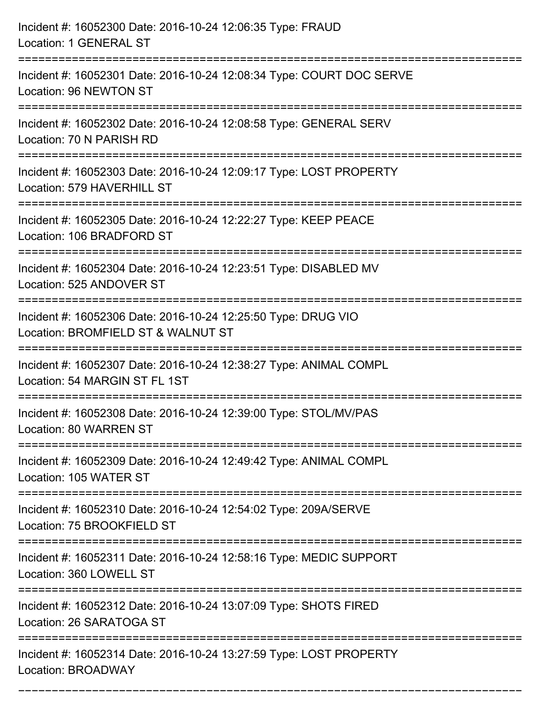| Incident #: 16052300 Date: 2016-10-24 12:06:35 Type: FRAUD<br>Location: 1 GENERAL ST                                             |
|----------------------------------------------------------------------------------------------------------------------------------|
| :=============================<br>Incident #: 16052301 Date: 2016-10-24 12:08:34 Type: COURT DOC SERVE<br>Location: 96 NEWTON ST |
| Incident #: 16052302 Date: 2016-10-24 12:08:58 Type: GENERAL SERV<br>Location: 70 N PARISH RD<br>:======================         |
| Incident #: 16052303 Date: 2016-10-24 12:09:17 Type: LOST PROPERTY<br>Location: 579 HAVERHILL ST                                 |
| Incident #: 16052305 Date: 2016-10-24 12:22:27 Type: KEEP PEACE<br>Location: 106 BRADFORD ST<br>===========================      |
| Incident #: 16052304 Date: 2016-10-24 12:23:51 Type: DISABLED MV<br>Location: 525 ANDOVER ST                                     |
| Incident #: 16052306 Date: 2016-10-24 12:25:50 Type: DRUG VIO<br>Location: BROMFIELD ST & WALNUT ST                              |
| Incident #: 16052307 Date: 2016-10-24 12:38:27 Type: ANIMAL COMPL<br>Location: 54 MARGIN ST FL 1ST                               |
| Incident #: 16052308 Date: 2016-10-24 12:39:00 Type: STOL/MV/PAS<br>Location: 80 WARREN ST                                       |
| Incident #: 16052309 Date: 2016-10-24 12:49:42 Type: ANIMAL COMPL<br>Location: 105 WATER ST                                      |
| Incident #: 16052310 Date: 2016-10-24 12:54:02 Type: 209A/SERVE<br>Location: 75 BROOKFIELD ST                                    |
| Incident #: 16052311 Date: 2016-10-24 12:58:16 Type: MEDIC SUPPORT<br>Location: 360 LOWELL ST                                    |
| Incident #: 16052312 Date: 2016-10-24 13:07:09 Type: SHOTS FIRED<br>Location: 26 SARATOGA ST                                     |
| Incident #: 16052314 Date: 2016-10-24 13:27:59 Type: LOST PROPERTY<br>Location: BROADWAY                                         |

===========================================================================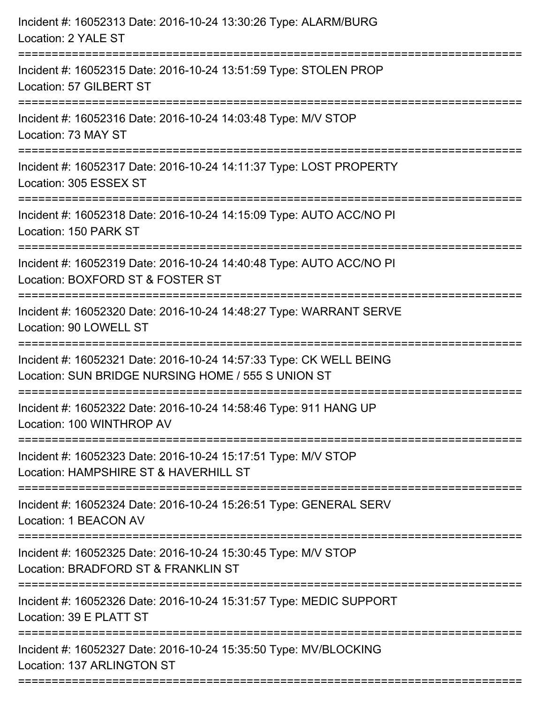| Incident #: 16052313 Date: 2016-10-24 13:30:26 Type: ALARM/BURG<br>Location: 2 YALE ST                                   |
|--------------------------------------------------------------------------------------------------------------------------|
| Incident #: 16052315 Date: 2016-10-24 13:51:59 Type: STOLEN PROP<br>Location: 57 GILBERT ST                              |
| Incident #: 16052316 Date: 2016-10-24 14:03:48 Type: M/V STOP<br>Location: 73 MAY ST                                     |
| Incident #: 16052317 Date: 2016-10-24 14:11:37 Type: LOST PROPERTY<br>Location: 305 ESSEX ST                             |
| Incident #: 16052318 Date: 2016-10-24 14:15:09 Type: AUTO ACC/NO PI<br>Location: 150 PARK ST                             |
| Incident #: 16052319 Date: 2016-10-24 14:40:48 Type: AUTO ACC/NO PI<br>Location: BOXFORD ST & FOSTER ST                  |
| Incident #: 16052320 Date: 2016-10-24 14:48:27 Type: WARRANT SERVE<br>Location: 90 LOWELL ST                             |
| Incident #: 16052321 Date: 2016-10-24 14:57:33 Type: CK WELL BEING<br>Location: SUN BRIDGE NURSING HOME / 555 S UNION ST |
| Incident #: 16052322 Date: 2016-10-24 14:58:46 Type: 911 HANG UP<br>Location: 100 WINTHROP AV                            |
| Incident #: 16052323 Date: 2016-10-24 15:17:51 Type: M/V STOP<br>Location: HAMPSHIRE ST & HAVERHILL ST                   |
| Incident #: 16052324 Date: 2016-10-24 15:26:51 Type: GENERAL SERV<br>Location: 1 BEACON AV                               |
| Incident #: 16052325 Date: 2016-10-24 15:30:45 Type: M/V STOP<br>Location: BRADFORD ST & FRANKLIN ST                     |
| Incident #: 16052326 Date: 2016-10-24 15:31:57 Type: MEDIC SUPPORT<br>Location: 39 E PLATT ST                            |
| Incident #: 16052327 Date: 2016-10-24 15:35:50 Type: MV/BLOCKING<br>Location: 137 ARLINGTON ST                           |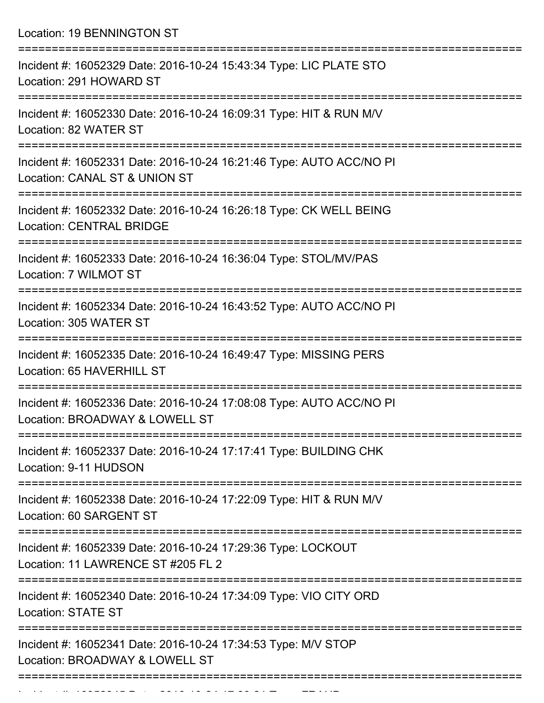Location: 19 BENNINGTON ST

| Incident #: 16052329 Date: 2016-10-24 15:43:34 Type: LIC PLATE STO<br>Location: 291 HOWARD ST                               |
|-----------------------------------------------------------------------------------------------------------------------------|
| Incident #: 16052330 Date: 2016-10-24 16:09:31 Type: HIT & RUN M/V<br>Location: 82 WATER ST<br>==========================   |
| Incident #: 16052331 Date: 2016-10-24 16:21:46 Type: AUTO ACC/NO PI<br>Location: CANAL ST & UNION ST                        |
| Incident #: 16052332 Date: 2016-10-24 16:26:18 Type: CK WELL BEING<br><b>Location: CENTRAL BRIDGE</b>                       |
| Incident #: 16052333 Date: 2016-10-24 16:36:04 Type: STOL/MV/PAS<br>Location: 7 WILMOT ST                                   |
| Incident #: 16052334 Date: 2016-10-24 16:43:52 Type: AUTO ACC/NO PI<br>Location: 305 WATER ST                               |
| Incident #: 16052335 Date: 2016-10-24 16:49:47 Type: MISSING PERS<br>Location: 65 HAVERHILL ST                              |
| Incident #: 16052336 Date: 2016-10-24 17:08:08 Type: AUTO ACC/NO PI<br>Location: BROADWAY & LOWELL ST<br>.----------------- |
| Incident #: 16052337 Date: 2016-10-24 17:17:41 Type: BUILDING CHK<br>Location: 9-11 HUDSON                                  |
| Incident #: 16052338 Date: 2016-10-24 17:22:09 Type: HIT & RUN M/V<br>Location: 60 SARGENT ST                               |
| Incident #: 16052339 Date: 2016-10-24 17:29:36 Type: LOCKOUT<br>Location: 11 LAWRENCE ST #205 FL 2                          |
| Incident #: 16052340 Date: 2016-10-24 17:34:09 Type: VIO CITY ORD<br><b>Location: STATE ST</b>                              |
| Incident #: 16052341 Date: 2016-10-24 17:34:53 Type: M/V STOP<br>Location: BROADWAY & LOWELL ST                             |
|                                                                                                                             |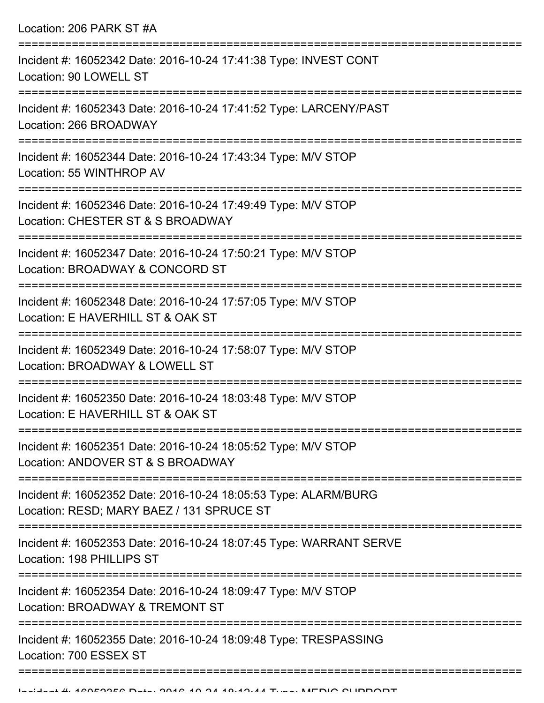| Location: 206 PARK ST #A                                                                                                         |
|----------------------------------------------------------------------------------------------------------------------------------|
| Incident #: 16052342 Date: 2016-10-24 17:41:38 Type: INVEST CONT<br>Location: 90 LOWELL ST<br>:================================= |
| Incident #: 16052343 Date: 2016-10-24 17:41:52 Type: LARCENY/PAST<br>Location: 266 BROADWAY                                      |
| Incident #: 16052344 Date: 2016-10-24 17:43:34 Type: M/V STOP<br>Location: 55 WINTHROP AV                                        |
| Incident #: 16052346 Date: 2016-10-24 17:49:49 Type: M/V STOP<br>Location: CHESTER ST & S BROADWAY                               |
| Incident #: 16052347 Date: 2016-10-24 17:50:21 Type: M/V STOP<br>Location: BROADWAY & CONCORD ST                                 |
| Incident #: 16052348 Date: 2016-10-24 17:57:05 Type: M/V STOP<br>Location: E HAVERHILL ST & OAK ST                               |
| Incident #: 16052349 Date: 2016-10-24 17:58:07 Type: M/V STOP<br>Location: BROADWAY & LOWELL ST                                  |
| Incident #: 16052350 Date: 2016-10-24 18:03:48 Type: M/V STOP<br>Location: E HAVERHILL ST & OAK ST                               |
| Incident #: 16052351 Date: 2016-10-24 18:05:52 Type: M/V STOP<br>Location: ANDOVER ST & S BROADWAY                               |
| Incident #: 16052352 Date: 2016-10-24 18:05:53 Type: ALARM/BURG<br>Location: RESD; MARY BAEZ / 131 SPRUCE ST                     |
| Incident #: 16052353 Date: 2016-10-24 18:07:45 Type: WARRANT SERVE<br>Location: 198 PHILLIPS ST                                  |
| Incident #: 16052354 Date: 2016-10-24 18:09:47 Type: M/V STOP<br>Location: BROADWAY & TREMONT ST                                 |
| Incident #: 16052355 Date: 2016-10-24 18:09:48 Type: TRESPASSING<br>Location: 700 ESSEX ST                                       |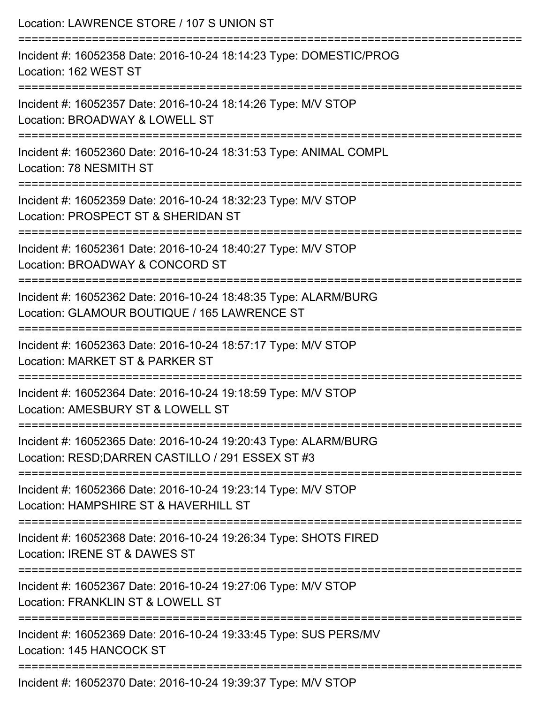| Location: LAWRENCE STORE / 107 S UNION ST                                                                                                             |
|-------------------------------------------------------------------------------------------------------------------------------------------------------|
| Incident #: 16052358 Date: 2016-10-24 18:14:23 Type: DOMESTIC/PROG<br>Location: 162 WEST ST                                                           |
| Incident #: 16052357 Date: 2016-10-24 18:14:26 Type: M/V STOP<br>Location: BROADWAY & LOWELL ST                                                       |
| Incident #: 16052360 Date: 2016-10-24 18:31:53 Type: ANIMAL COMPL<br>Location: 78 NESMITH ST                                                          |
| Incident #: 16052359 Date: 2016-10-24 18:32:23 Type: M/V STOP<br>Location: PROSPECT ST & SHERIDAN ST                                                  |
| Incident #: 16052361 Date: 2016-10-24 18:40:27 Type: M/V STOP<br>Location: BROADWAY & CONCORD ST                                                      |
| ==================================<br>Incident #: 16052362 Date: 2016-10-24 18:48:35 Type: ALARM/BURG<br>Location: GLAMOUR BOUTIQUE / 165 LAWRENCE ST |
| Incident #: 16052363 Date: 2016-10-24 18:57:17 Type: M/V STOP<br>Location: MARKET ST & PARKER ST                                                      |
| Incident #: 16052364 Date: 2016-10-24 19:18:59 Type: M/V STOP<br>Location: AMESBURY ST & LOWELL ST                                                    |
| Incident #: 16052365 Date: 2016-10-24 19:20:43 Type: ALARM/BURG<br>Location: RESD; DARREN CASTILLO / 291 ESSEX ST #3                                  |
| Incident #: 16052366 Date: 2016-10-24 19:23:14 Type: M/V STOP<br>Location: HAMPSHIRE ST & HAVERHILL ST                                                |
| Incident #: 16052368 Date: 2016-10-24 19:26:34 Type: SHOTS FIRED<br>Location: IRENE ST & DAWES ST                                                     |
| Incident #: 16052367 Date: 2016-10-24 19:27:06 Type: M/V STOP<br>Location: FRANKLIN ST & LOWELL ST                                                    |
| Incident #: 16052369 Date: 2016-10-24 19:33:45 Type: SUS PERS/MV<br>Location: 145 HANCOCK ST                                                          |
| Incident #: 16052370 Date: 2016-10-24 19:39:37 Type: M/V STOP                                                                                         |

Incident #: 16052370 Date: 2016-10-24 19:39:37 Type: M/V STOP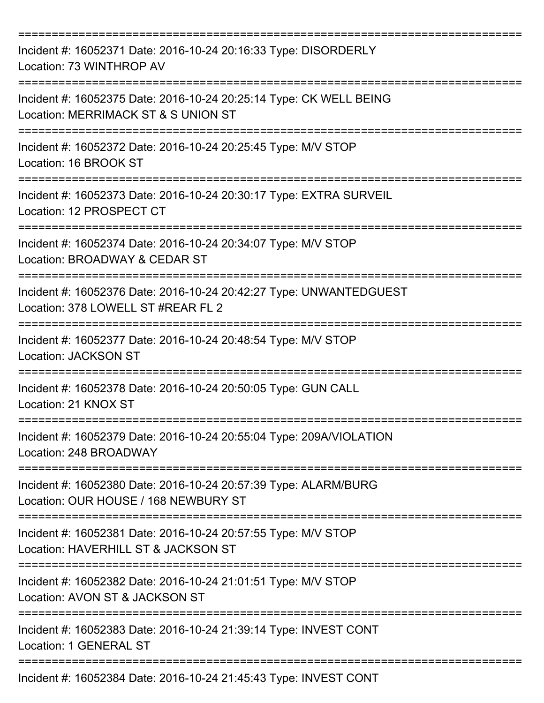| Incident #: 16052371 Date: 2016-10-24 20:16:33 Type: DISORDERLY<br>Location: 73 WINTHROP AV               |
|-----------------------------------------------------------------------------------------------------------|
| Incident #: 16052375 Date: 2016-10-24 20:25:14 Type: CK WELL BEING<br>Location: MERRIMACK ST & S UNION ST |
| Incident #: 16052372 Date: 2016-10-24 20:25:45 Type: M/V STOP<br>Location: 16 BROOK ST                    |
| Incident #: 16052373 Date: 2016-10-24 20:30:17 Type: EXTRA SURVEIL<br>Location: 12 PROSPECT CT            |
| Incident #: 16052374 Date: 2016-10-24 20:34:07 Type: M/V STOP<br>Location: BROADWAY & CEDAR ST            |
| Incident #: 16052376 Date: 2016-10-24 20:42:27 Type: UNWANTEDGUEST<br>Location: 378 LOWELL ST #REAR FL 2  |
| Incident #: 16052377 Date: 2016-10-24 20:48:54 Type: M/V STOP<br>Location: JACKSON ST                     |
| Incident #: 16052378 Date: 2016-10-24 20:50:05 Type: GUN CALL<br>Location: 21 KNOX ST                     |
| Incident #: 16052379 Date: 2016-10-24 20:55:04 Type: 209A/VIOLATION<br>Location: 248 BROADWAY             |
| Incident #: 16052380 Date: 2016-10-24 20:57:39 Type: ALARM/BURG<br>Location: OUR HOUSE / 168 NEWBURY ST   |
| Incident #: 16052381 Date: 2016-10-24 20:57:55 Type: M/V STOP<br>Location: HAVERHILL ST & JACKSON ST      |
| Incident #: 16052382 Date: 2016-10-24 21:01:51 Type: M/V STOP<br>Location: AVON ST & JACKSON ST           |
| Incident #: 16052383 Date: 2016-10-24 21:39:14 Type: INVEST CONT<br><b>Location: 1 GENERAL ST</b>         |
| Incident #: 16052384 Date: 2016-10-24 21:45:43 Type: INVEST CONT                                          |